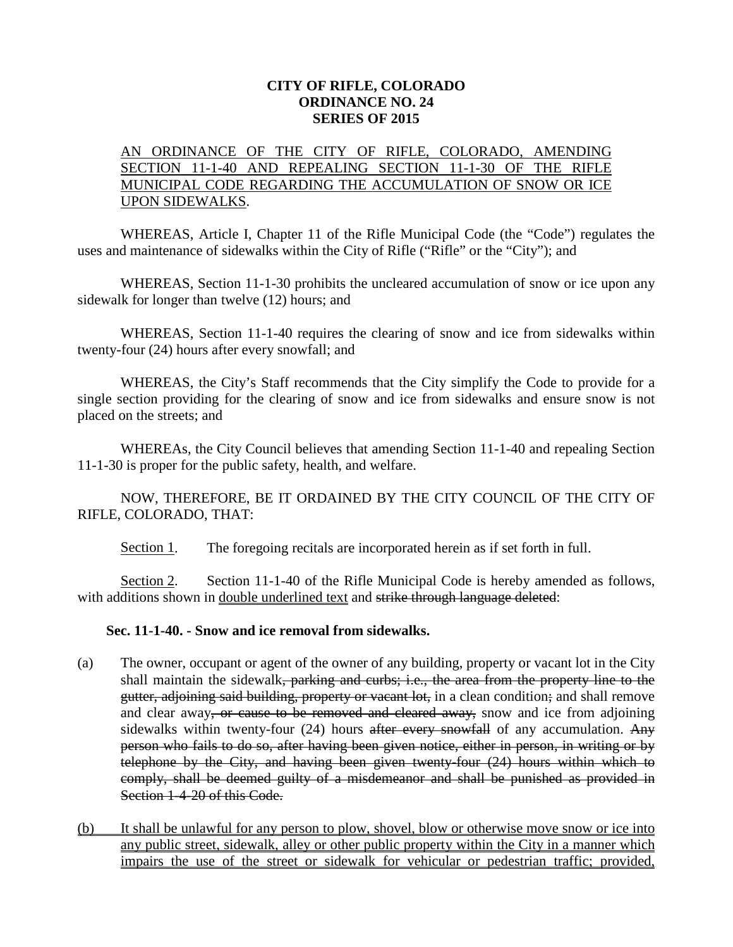## **CITY OF RIFLE, COLORADO ORDINANCE NO. 24 SERIES OF 2015**

## AN ORDINANCE OF THE CITY OF RIFLE, COLORADO, AMENDING SECTION 11-1-40 AND REPEALING SECTION 11-1-30 OF THE RIFLE MUNICIPAL CODE REGARDING THE ACCUMULATION OF SNOW OR ICE UPON SIDEWALKS.

WHEREAS, Article I, Chapter 11 of the Rifle Municipal Code (the "Code") regulates the uses and maintenance of sidewalks within the City of Rifle ("Rifle" or the "City"); and

WHEREAS, Section 11-1-30 prohibits the uncleared accumulation of snow or ice upon any sidewalk for longer than twelve (12) hours; and

WHEREAS, Section 11-1-40 requires the clearing of snow and ice from sidewalks within twenty-four (24) hours after every snowfall; and

WHEREAS, the City's Staff recommends that the City simplify the Code to provide for a single section providing for the clearing of snow and ice from sidewalks and ensure snow is not placed on the streets; and

WHEREAs, the City Council believes that amending Section 11-1-40 and repealing Section 11-1-30 is proper for the public safety, health, and welfare.

NOW, THEREFORE, BE IT ORDAINED BY THE CITY COUNCIL OF THE CITY OF RIFLE, COLORADO, THAT:

Section 1. The foregoing recitals are incorporated herein as if set forth in full.

Section 2. Section 11-1-40 of the Rifle Municipal Code is hereby amended as follows, with additions shown in double underlined text and strike through language deleted:

## **Sec. 11-1-40. - Snow and ice removal from sidewalks.**

- (a) The owner, occupant or agent of the owner of any building, property or vacant lot in the City shall maintain the sidewalk, parking and curbs; i.e., the area from the property line to the gutter, adjoining said building, property or vacant lot, in a clean condition; and shall remove and clear away, or cause to be removed and cleared away, snow and ice from adjoining sidewalks within twenty-four  $(24)$  hours after every snowfall of any accumulation. Any person who fails to do so, after having been given notice, either in person, in writing or by telephone by the City, and having been given twenty-four (24) hours within which to comply, shall be deemed guilty of a misdemeanor and shall be punished as provided in Section 1-4-20 of this Code.
- (b) It shall be unlawful for any person to plow, shovel, blow or otherwise move snow or ice into any public street, sidewalk, alley or other public property within the City in a manner which impairs the use of the street or sidewalk for vehicular or pedestrian traffic; provided,